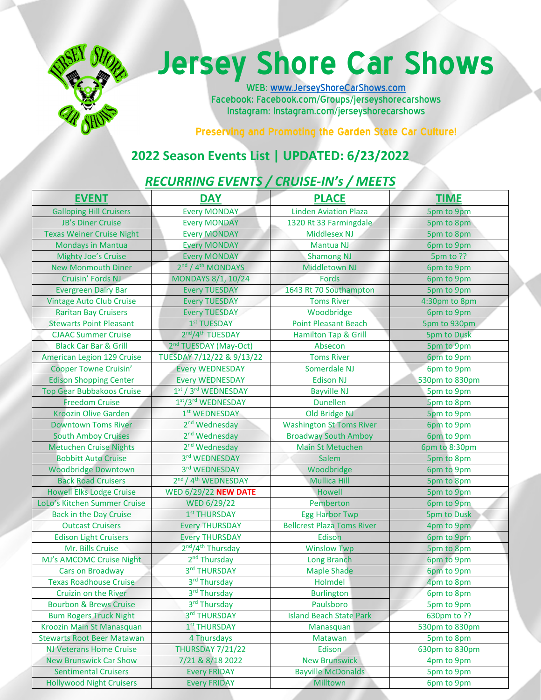

# **Jersey Shore Car Shows**

WEB: www.JerseyShoreCarShows.com Facebook: Facebook.com/Groups/jerseyshorecarshows Instagram: Instagram.com/jerseyshorecarshows

**Preserving and Promoting the Garden State Car Culture!** 

### **2022 Season Events List | UPDATED: 6/23/2022**

#### *RECURRING EVENTS / CRUISE‐IN's / MEETS*

| <b>EVENT</b>                      | <b>DAY</b>                                  | <b>PLACE</b>                      | <b>TIME</b>        |
|-----------------------------------|---------------------------------------------|-----------------------------------|--------------------|
| <b>Galloping Hill Cruisers</b>    | <b>Every MONDAY</b>                         | <b>Linden Aviation Plaza</b>      | 5pm to 9pm         |
| <b>JB's Diner Cruise</b>          | <b>Every MONDAY</b>                         | 1320 Rt 33 Farmingdale            | 5pm to 8pm         |
| <b>Texas Weiner Cruise Night</b>  | <b>Every MONDAY</b>                         | <b>Middlesex NJ</b>               | 5pm to 8pm         |
| <b>Mondays in Mantua</b>          | <b>Every MONDAY</b>                         | Mantua NJ                         | 6pm to 9pm         |
| <b>Mighty Joe's Cruise</b>        | <b>Every MONDAY</b>                         | <b>Shamong NJ</b>                 | 5pm to ??          |
| <b>New Monmouth Diner</b>         | 2nd / 4 <sup>th</sup> MONDAYS               | <b>Middletown NJ</b>              | 6pm to 9pm         |
| Cruisin' Fords NJ                 | MONDAYS 8/1, 10/24                          | <b>Fords</b>                      | 6pm to 9pm         |
| <b>Evergreen Dairy Bar</b>        | <b>Every TUESDAY</b>                        | 1643 Rt 70 Southampton            | 5pm to 9pm         |
| <b>Vintage Auto Club Cruise</b>   | <b>Every TUESDAY</b>                        | <b>Toms River</b>                 | 4:30pm to 8pm      |
| <b>Raritan Bay Cruisers</b>       | <b>Every TUESDAY</b>                        | Woodbridge                        | 6pm to 9pm         |
| <b>Stewarts Point Pleasant</b>    | 1st TUESDAY                                 | <b>Point Pleasant Beach</b>       | 5pm to 930pm       |
| <b>CJAAC Summer Cruise</b>        | 2nd/4th TUESDAY                             | Hamilton Tap & Grill              | <b>5pm to Dusk</b> |
| <b>Black Car Bar &amp; Grill</b>  | 2 <sup>nd</sup> TUESDAY (May-Oct)           | Absecon                           | 5pm to 9pm         |
| American Legion 129 Cruise        | TUESDAY 7/12/22 & 9/13/22                   | <b>Toms River</b>                 | 6pm to 9pm         |
| <b>Cooper Towne Cruisin'</b>      | <b>Every WEDNESDAY</b>                      | Somerdale NJ                      | 6pm to 9pm         |
| <b>Edison Shopping Center</b>     | <b>Every WEDNESDAY</b>                      | <b>Edison NJ</b>                  | 530pm to 830pm     |
| <b>Top Gear Bubbakoos Cruise</b>  | 1st / 3rd WEDNESDAY                         | <b>Bayville NJ</b>                | 5pm to 9pm         |
| <b>Freedom Cruise</b>             | 1st/3rd WEDNESDAY                           | <b>Dunellen</b>                   | 5pm to 8pm         |
| <b>Kroozin Olive Garden</b>       | 1st WEDNESDAY                               | Old Bridge NJ                     | 5pm to 9pm         |
| <b>Downtown Toms River</b>        | 2 <sup>nd</sup> Wednesday                   | <b>Washington St Toms River</b>   | 6pm to 9pm         |
| <b>South Amboy Cruises</b>        | 2 <sup>nd</sup> Wednesday                   | <b>Broadway South Amboy</b>       | 6pm to 9pm         |
| <b>Metuchen Cruise Nights</b>     | 2 <sup>nd</sup> Wednesday                   | <b>Main St Metuchen</b>           | 6pm to 8:30pm      |
| <b>Bobbitt Auto Cruise</b>        | 3rd WEDNESDAY                               | Salem                             | 5pm to 8pm         |
| <b>Woodbridge Downtown</b>        | 3rd WEDNESDAY                               | Woodbridge                        | 6pm to 9pm         |
| <b>Back Road Cruisers</b>         | 2 <sup>nd</sup> / 4 <sup>th</sup> WEDNESDAY | <b>Mullica Hill</b>               | 5pm to 8pm         |
| <b>Howell Elks Lodge Cruise</b>   | <b>WED 6/29/22 NEW DATE</b>                 | Howell                            | 5pm to 9pm         |
| LoLo's Kitchen Summer Cruise      | <b>WED 6/29/22</b>                          | Pemberton                         | 6pm to 9pm         |
| <b>Back in the Day Cruise</b>     | 1st THURSDAY                                | <b>Egg Harbor Twp</b>             | <b>5pm to Dusk</b> |
| <b>Outcast Cruisers</b>           | <b>Every THURSDAY</b>                       | <b>Bellcrest Plaza Toms River</b> | 4pm to 9pm         |
| <b>Edison Light Cruisers</b>      | <b>Every THURSDAY</b>                       | Edison                            | 6pm to 9pm         |
| Mr. Bills Cruise                  | 2nd/4 <sup>th</sup> Thursday                | <b>Winslow Twp</b>                | 5pm to 8pm         |
| MJ's AMCOMC Cruise Night          | 2 <sup>nd</sup> Thursday                    | <b>Long Branch</b>                | 6pm to 9pm         |
| Cars on Broadway                  | 3rd THURSDAY                                | <b>Maple Shade</b>                | 6pm to 9pm         |
| <b>Texas Roadhouse Cruise</b>     | 3rd Thursday                                | Holmdel                           | 4pm to 8pm         |
| Cruizin on the River              | 3rd Thursday                                | <b>Burlington</b>                 | 6pm to 8pm         |
| <b>Bourbon &amp; Brews Cruise</b> | 3rd Thursday                                | Paulsboro                         | 5pm to 9pm         |
| <b>Bum Rogers Truck Night</b>     | 3rd THURSDAY                                | <b>Island Beach State Park</b>    | 630pm to ??        |
| Kroozin Main St Manasquan         | 1st THURSDAY                                | Manasquan                         | 530pm to 830pm     |
| <b>Stewarts Root Beer Matawan</b> | 4 Thursdays                                 | Matawan                           | 5pm to 8pm         |
| <b>NJ Veterans Home Cruise</b>    | <b>THURSDAY 7/21/22</b>                     | Edison                            | 630pm to 830pm     |
| <b>New Brunswick Car Show</b>     | 7/21 & 8/18 2022                            | <b>New Brunswick</b>              | 4pm to 9pm         |
| <b>Sentimental Cruisers</b>       | <b>Every FRIDAY</b>                         | <b>Bayville McDonalds</b>         | 5pm to 9pm         |
| <b>Hollywood Night Cruisers</b>   | <b>Every FRIDAY</b>                         | Milltown                          | 6pm to 9pm         |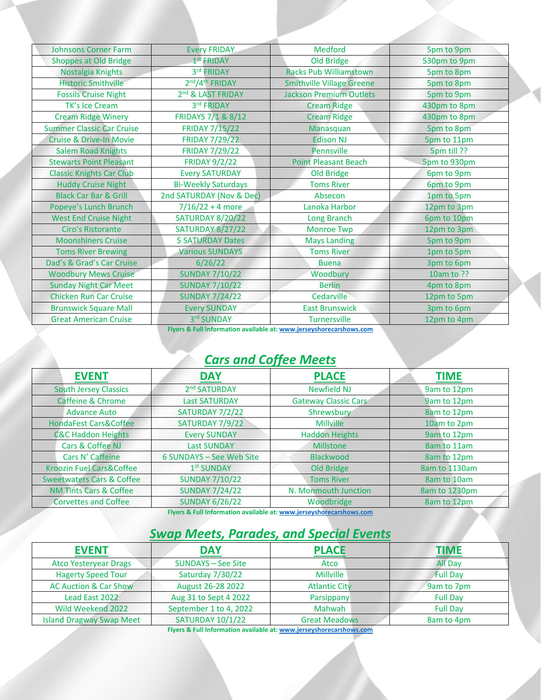| <b>Johnsons Corner Farm</b>        | <b>Every FRIDAY</b>           | Medford                          | 5pm to 9pm   |
|------------------------------------|-------------------------------|----------------------------------|--------------|
| Shoppes at Old Bridge              | $1st$ FRIDAY                  | Old Bridge                       | 530pm to 9pm |
| Nostalgia Knights                  | 3rd FRIDAY                    | <b>Racks Pub Williamstown</b>    | 5pm to 8pm   |
| <b>Historic Smithville</b>         | 2nd/4th FRIDAY                | <b>Smithville Village Greene</b> | 5pm to 8pm   |
| <b>Fossils Cruise Night</b>        | 2 <sup>nd</sup> & LAST FRIDAY | <b>Jackson Premium Outlets</b>   | 5pm to 9pm   |
| <b>TK's Ice Cream</b>              | 3rd FRIDAY                    | <b>Cream Ridge</b>               | 430pm to 8pm |
| <b>Cream Ridge Winery</b>          | FRIDAYS 7/1 & 8/12            | <b>Cream Ridge</b>               | 430pm to 8pm |
| <b>Summer Classic Car Cruise</b>   | <b>FRIDAY 7/15/22</b>         | Manasquan                        | 5pm to 8pm   |
| <b>Cruise &amp; Drive-In Movie</b> | <b>FRIDAY 7/29/22</b>         | <b>Edison NJ</b>                 | 5pm to 11pm  |
| <b>Salem Road Knights</b>          | <b>FRIDAY 7/29/22</b>         | <b>Pennsville</b>                | 5pm till ??  |
| <b>Stewarts Point Pleasant</b>     | <b>FRIDAY 9/2/22</b>          | <b>Point Pleasant Beach</b>      | 5pm to 930pm |
| <b>Classic Knights Car Club</b>    | <b>Every SATURDAY</b>         | Old Bridge                       | 6pm to 9pm   |
| <b>Huddy Cruise Night</b>          | <b>Bi-Weekly Saturdays</b>    | <b>Toms River</b>                | 6pm to 9pm   |
| <b>Black Car Bar &amp; Grill</b>   | 2nd SATURDAY (Nov & Dec)      | Absecon                          | 1pm to 5pm   |
| Popeye's Lunch Brunch              | $7/16/22 + 4$ more            | Lanoka Harbor                    | 12pm to 3pm  |
| <b>West End Cruise Night</b>       | <b>SATURDAY 8/20/22</b>       | Long Branch                      | 6pm to 10pm  |
| Ciro's Ristorante                  | <b>SATURDAY 8/27/22</b>       | <b>Monroe Twp</b>                | 12pm to 3pm  |
| <b>Moonshiners Cruise</b>          | <b>5 SATURDAY Dates</b>       | <b>Mays Landing</b>              | 5pm to 9pm   |
| <b>Toms River Brewing</b>          | <b>Various SUNDAYS</b>        | <b>Toms River</b>                | 1pm to 5pm   |
| Dad's & Grad's Car Cruise          | 6/26/22                       | <b>Buena</b>                     | 3pm to 6pm   |
| <b>Woodbury Mews Cruise</b>        | <b>SUNDAY 7/10/22</b>         | Woodbury                         | 10am to ??   |
| <b>Sunday Night Car Meet</b>       | <b>SUNDAY 7/10/22</b>         | <b>Berlin</b>                    | 4pm to 8pm   |
| <b>Chicken Run Car Cruise</b>      | <b>SUNDAY 7/24/22</b>         | Cedarville                       | 12pm to 5pm  |
| <b>Brunswick Square Mall</b>       | <b>Every SUNDAY</b>           | <b>East Brunswick</b>            | 3pm to 6pm   |
| <b>Great American Cruise</b>       | 3rd SUNDAY                    | <b>Turnersville</b>              | 12pm to 4pm  |

**Flyers & Full Information available at: www.jerseyshorecarshows.com**

### *Cars and Coffee Meets*

| <b>EVENT</b>                         | <b>DAY</b>               | <b>PLACE</b>                | <b>TIME</b>   |
|--------------------------------------|--------------------------|-----------------------------|---------------|
| <b>South Jersey Classics</b>         | 2 <sup>nd</sup> SATURDAY | <b>Newfield NJ</b>          | 9am to 12pm   |
| <b>Caffeine &amp; Chrome</b>         | <b>Last SATURDAY</b>     | <b>Gateway Classic Cars</b> | 9am to 12pm   |
| Advance Auto                         | SATURDAY 7/2/22          | Shrewsbury                  | 8am to 12pm   |
| <b>HondaFest Cars&amp;Coffee</b>     | SATURDAY 7/9/22          | Millville                   | 10am to 2pm   |
| <b>C&amp;C Haddon Heights</b>        | <b>Every SUNDAY</b>      | <b>Haddon Heights</b>       | 9am to 12pm   |
| Cars & Coffee NJ                     | <b>Last SUNDAY</b>       | Millstone                   | 8am to 11am   |
| Cars N' Caffeine                     | 6 SUNDAYS - See Web Site | <b>Blackwood</b>            | 8am to 12pm   |
| Kroozin Fuel Cars&Coffee             | 1 <sup>st</sup> SUNDAY   | Old Bridge                  | 8am to 1130am |
| <b>Sweetwaters Cars &amp; Coffee</b> | <b>SUNDAY 7/10/22</b>    | <b>Toms River</b>           | 8am to 10am   |
| <b>NM Tints Cars &amp; Coffee</b>    | <b>SUNDAY 7/24/22</b>    | N. Monmouth Junction        | 8am to 1230pm |
| <b>Corvettes and Coffee</b>          | <b>SUNDAY 6/26/22</b>    | Woodbridge                  | 8am to 12pm   |

**Flyers & Full Information available at: www.jerseyshorecarshows.com**

## *Swap Meets, Parades, and Special Events*

| <b>EVENT</b>                     | <b>DAY</b>                | <b>PLACE</b>         | TIME            |
|----------------------------------|---------------------------|----------------------|-----------------|
| <b>Atco Yesteryear Drags</b>     | <b>SUNDAYS - See Site</b> | Atco                 | <b>All Day</b>  |
| <b>Hagerty Speed Tour</b>        | Saturday 7/30/22          | <b>Millville</b>     | <b>Full Dav</b> |
| <b>AC Auction &amp; Car Show</b> | August 26-28 2022         | <b>Atlantic City</b> | 9am to 7pm      |
| Lead East 2022                   | Aug 31 to Sept 4 2022     | <b>Parsippany</b>    | <b>Full Day</b> |
| Wild Weekend 2022                | September 1 to 4, 2022    | Mahwah               | <b>Full Day</b> |
| <b>Island Dragway Swap Meet</b>  | <b>SATURDAY 10/1/22</b>   | <b>Great Meadows</b> | 8am to 4pm      |

**Flyers & Full Information available at: www.jerseyshorecarshows.com**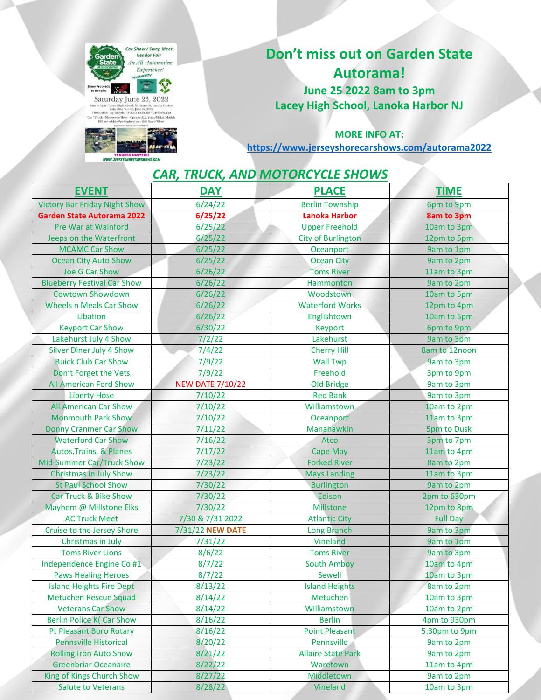



## **Don't miss out on Garden State Autorama! June 25 2022 8am to 3pm Lacey High School, Lanoka Harbor NJ**

**MORE INFO AT:**

**https://www.jerseyshorecarshows.com/autorama2022**

#### *CAR, TRUCK, AND MOTORCYCLE SHOWS*

| <b>EVENT</b>                         | <b>DAY</b>              | <b>PLACE</b>              | <b>TIME</b>        |
|--------------------------------------|-------------------------|---------------------------|--------------------|
| <b>Victory Bar Friday Night Show</b> | 6/24/22                 | <b>Berlin Township</b>    | 6pm to 9pm         |
| <b>Garden State Autorama 2022</b>    | 6/25/22                 | <b>Lanoka Harbor</b>      | <b>8am to 3pm</b>  |
| <b>Pre War at Walnford</b>           | 6/25/22                 | <b>Upper Freehold</b>     | 10am to 3pm        |
| Jeeps on the Waterfront              | 6/25/22                 | <b>City of Burlington</b> | 12pm to 5pm        |
| <b>MCAMC Car Show</b>                | 6/25/22                 | Oceanport                 | 9am to 1pm         |
| <b>Ocean City Auto Show</b>          | 6/25/22                 | <b>Ocean City</b>         | 9am to 2pm         |
| Joe G Car Show                       | 6/26/22                 | <b>Toms River</b>         | 11am to 3pm        |
| <b>Blueberry Festival Car Show</b>   | 6/26/22                 | Hammonton                 | 9am to 2pm         |
| <b>Cowtown Showdown</b>              | 6/26/22                 | Woodstown                 | 10am to 5pm        |
| <b>Wheels n Meals Car Show</b>       | 6/26/22                 | <b>Waterford Works</b>    | 12pm to 4pm        |
| Libation                             | 6/26/22                 | Englishtown               | 10am to 5pm        |
| <b>Keyport Car Show</b>              | 6/30/22                 | Keyport                   | 6pm to 9pm         |
| Lakehurst July 4 Show                | 7/2/22                  | Lakehurst                 | 9am to 3pm         |
| Silver Diner July 4 Show             | 7/4/22                  | <b>Cherry Hill</b>        | 8am to 12noon      |
| <b>Buick Club Car Show</b>           | 7/9/22                  | <b>Wall Twp</b>           | 9am to 3pm         |
| Don't Forget the Vets                | 7/9/22                  | Freehold                  | 3pm to 9pm         |
| <b>All American Ford Show</b>        | <b>NEW DATE 7/10/22</b> | <b>Old Bridge</b>         | 9am to 3pm         |
| <b>Liberty Hose</b>                  | 7/10/22                 | <b>Red Bank</b>           | 9am to 3pm         |
| <b>All American Car Show</b>         | 7/10/22                 | Williamstown              | 10am to 2pm        |
| <b>Monmouth Park Show</b>            | 7/10/22                 | Oceanport                 | 11am to 3pm        |
| <b>Donny Cranmer Car Show</b>        | 7/11/22                 | Manahawkin                | <b>5pm to Dusk</b> |
| <b>Waterford Car Show</b>            | 7/16/22                 | Atco                      | 3pm to 7pm         |
| Autos, Trains, & Planes              | 7/17/22                 | <b>Cape May</b>           | 11am to 4pm        |
| Mid-Summer Car/Truck Show            | 7/23/22                 | <b>Forked River</b>       | 8am to 2pm         |
| <b>Christmas in July Show</b>        | 7/23/22                 | <b>Mays Landing</b>       | 11am to 3pm        |
| <b>St Paul School Show</b>           | 7/30/22                 | <b>Burlington</b>         | 9am to 2pm         |
| Car Truck & Bike Show                | 7/30/22                 | Edison                    | 2pm to 630pm       |
| Mayhem @ Millstone Elks              | 7/30/22                 | <b>Millstone</b>          | 12pm to 8pm        |
| <b>AC Truck Meet</b>                 | 7/30 & 7/31 2022        | <b>Atlantic City</b>      | <b>Full Day</b>    |
| Cruise to the Jersey Shore           | 7/31/22 NEW DATE        | Long Branch               | 9am to 3pm         |
| Christmas in July                    | 7/31/22                 | Vineland                  | 9am to 1pm         |
| <b>Toms River Lions</b>              | 8/6/22                  | <b>Toms River</b>         | 9am to 3pm         |
| Independence Engine Co #1            | 8/7/22                  | <b>South Amboy</b>        | 10am to 4pm        |
| <b>Paws Healing Heroes</b>           | 8/7/22                  | Sewell                    | 10am to 3pm        |
| <b>Island Heights Fire Dept</b>      | 8/13/22                 | <b>Island Heights</b>     | 8am to 2pm         |
| <b>Metuchen Rescue Squad</b>         | 8/14/22                 | Metuchen                  | 10am to 3pm        |
| <b>Veterans Car Show</b>             | 8/14/22                 | Williamstown              | 10am to 2pm        |
| <b>Berlin Police K( Car Show</b>     | 8/16/22                 | <b>Berlin</b>             | 4pm to 930pm       |
| Pt Pleasant Boro Rotary              | 8/16/22                 | <b>Point Pleasant</b>     | 5:30pm to 9pm      |
| <b>Pennsville Historical</b>         | 8/20/22                 | Pennsville                | 9am to 2pm         |
| <b>Rolling Iron Auto Show</b>        | 8/21/22                 | <b>Allaire State Park</b> | 9am to 2pm         |
| <b>Greenbriar Oceanaire</b>          | 8/22/22                 | Waretown                  | 11am to 4pm        |
| King of Kings Church Show            | 8/27/22                 | Middletown                | 9am to 2pm         |
| <b>Salute to Veterans</b>            | 8/28/22                 | Vineland                  | 10am to 3pm        |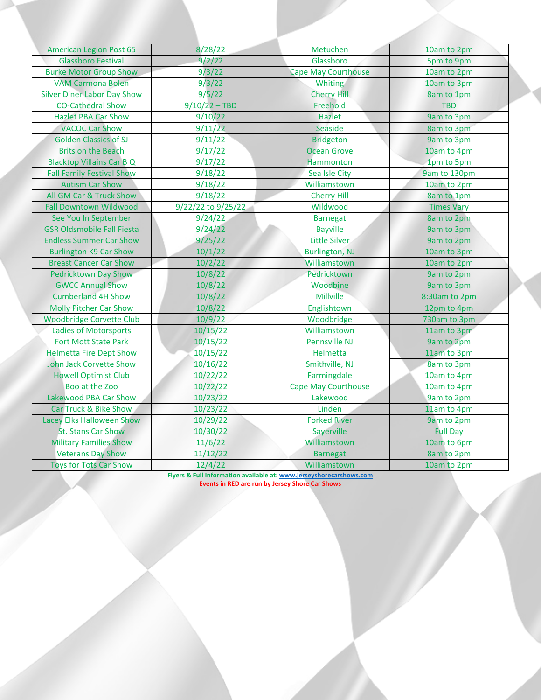| <b>American Legion Post 65</b>     | 8/28/22            | Metuchen                   | 10am to 2pm       |
|------------------------------------|--------------------|----------------------------|-------------------|
| <b>Glassboro Festival</b>          | 9/2/22             | Glassboro                  | 5pm to 9pm        |
| <b>Burke Motor Group Show</b>      | 9/3/22             | <b>Cape May Courthouse</b> | 10am to 2pm       |
| <b>VAM Carmona Bolen</b>           | 9/3/22             | Whiting                    | 10am to 3pm       |
| <b>Silver Diner Labor Day Show</b> | 9/5/22             | <b>Cherry Hill</b>         | 8am to 1pm        |
| <b>CO-Cathedral Show</b>           | $9/10/22 - TBD$    | Freehold                   | <b>TBD</b>        |
| <b>Hazlet PBA Car Show</b>         | 9/10/22            | Hazlet                     | 9am to 3pm        |
| <b>VACOC Car Show</b>              | 9/11/22            | Seaside                    | 8am to 3pm        |
| <b>Golden Classics of SJ</b>       | 9/11/22            | <b>Bridgeton</b>           | 9am to 3pm        |
| <b>Brits on the Beach</b>          | 9/17/22            | <b>Ocean Grove</b>         | 10am to 4pm       |
| <b>Blacktop Villains Car B Q</b>   | 9/17/22            | Hammonton                  | 1pm to 5pm        |
| <b>Fall Family Festival Show</b>   | 9/18/22            | Sea Isle City              | 9am to 130pm      |
| <b>Autism Car Show</b>             | 9/18/22            | Williamstown               | 10am to 2pm       |
| All GM Car & Truck Show            | 9/18/22            | <b>Cherry Hill</b>         | 8am to 1pm        |
| <b>Fall Downtown Wildwood</b>      | 9/22/22 to 9/25/22 | Wildwood                   | <b>Times Vary</b> |
| See You In September               | 9/24/22            | <b>Barnegat</b>            | 8am to 2pm        |
| <b>GSR Oldsmobile Fall Fiesta</b>  | 9/24/22            | <b>Bayville</b>            | 9am to 3pm        |
| <b>Endless Summer Car Show</b>     | 9/25/22            | <b>Little Silver</b>       | 9am to 2pm        |
| <b>Burlington K9 Car Show</b>      | 10/1/22            | <b>Burlington, NJ</b>      | 10am to 3pm       |
| <b>Breast Cancer Car Show</b>      | 10/2/22            | Williamstown               | 10am to 2pm       |
| <b>Pedricktown Day Show</b>        | 10/8/22            | Pedricktown                | 9am to 2pm        |
| <b>GWCC Annual Show</b>            | 10/8/22            | Woodbine                   | 9am to 3pm        |
| <b>Cumberland 4H Show</b>          | 10/8/22            | Millville                  | 8:30am to 2pm     |
| <b>Molly Pitcher Car Show</b>      | 10/8/22            | Englishtown                | 12pm to 4pm       |
| <b>Woodbridge Corvette Club</b>    | 10/9/22            | Woodbridge                 | 730am to 3pm      |
| <b>Ladies of Motorsports</b>       | 10/15/22           | Williamstown               | 11am to 3pm       |
| <b>Fort Mott State Park</b>        | 10/15/22           | Pennsville NJ              | 9am to 2pm        |
| <b>Helmetta Fire Dept Show</b>     | 10/15/22           | Helmetta                   | 11am to 3pm       |
| John Jack Corvette Show            | 10/16/22           | Smithville, NJ             | 8am to 3pm        |
| <b>Howell Optimist Club</b>        | 10/22/22           | Farmingdale                | 10am to 4pm       |
| Boo at the Zoo                     | 10/22/22           | <b>Cape May Courthouse</b> | 10am to 4pm       |
| Lakewood PBA Car Show              | 10/23/22           | Lakewood                   | 9am to 2pm        |
| <b>Car Truck &amp; Bike Show</b>   | 10/23/22           | Linden                     | 11am to 4pm       |
| Lacey Elks Halloween Show          | 10/29/22           | <b>Forked River</b>        | 9am to 2pm        |
| St. Stans Car Show                 | 10/30/22           | Sayerville                 | <b>Full Day</b>   |
| <b>Military Families Show</b>      | 11/6/22            | Williamstown               | 10am to 6pm       |
| <b>Veterans Day Show</b>           | 11/12/22           | <b>Barnegat</b>            | 8am to 2pm        |
| <b>Toys for Tots Car Show</b>      | 12/4/22            | Williamstown               | 10am to 2pm       |

**Flyers & Full Information available at: www.jerseyshorecarshows.com Events in RED are run by Jersey Shore Car Shows**